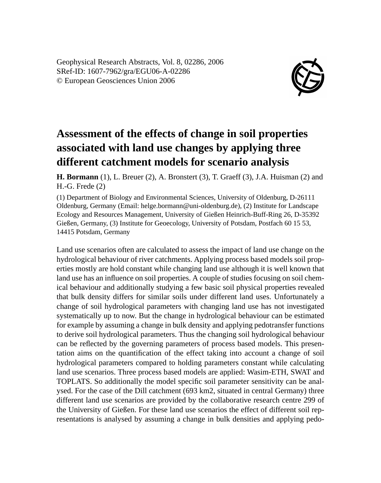Geophysical Research Abstracts, Vol. 8, 02286, 2006 SRef-ID: 1607-7962/gra/EGU06-A-02286 © European Geosciences Union 2006



## **Assessment of the effects of change in soil properties associated with land use changes by applying three different catchment models for scenario analysis**

**H. Bormann** (1), L. Breuer (2), A. Bronstert (3), T. Graeff (3), J.A. Huisman (2) and H.-G. Frede (2)

(1) Department of Biology and Environmental Sciences, University of Oldenburg, D-26111 Oldenburg, Germany (Email: helge.bormann@uni-oldenburg.de), (2) Institute for Landscape Ecology and Resources Management, University of Gießen Heinrich-Buff-Ring 26, D-35392 Gießen, Germany, (3) Institute for Geoecology, University of Potsdam, Postfach 60 15 53, 14415 Potsdam, Germany

Land use scenarios often are calculated to assess the impact of land use change on the hydrological behaviour of river catchments. Applying process based models soil properties mostly are hold constant while changing land use although it is well known that land use has an influence on soil properties. A couple of studies focusing on soil chemical behaviour and additionally studying a few basic soil physical properties revealed that bulk density differs for similar soils under different land uses. Unfortunately a change of soil hydrological parameters with changing land use has not investigated systematically up to now. But the change in hydrological behaviour can be estimated for example by assuming a change in bulk density and applying pedotransfer functions to derive soil hydrological parameters. Thus the changing soil hydrological behaviour can be reflected by the governing parameters of process based models. This presentation aims on the quantification of the effect taking into account a change of soil hydrological parameters compared to holding parameters constant while calculating land use scenarios. Three process based models are applied: Wasim-ETH, SWAT and TOPLATS. So additionally the model specific soil parameter sensitivity can be analysed. For the case of the Dill catchment (693 km2, situated in central Germany) three different land use scenarios are provided by the collaborative research centre 299 of the University of Gießen. For these land use scenarios the effect of different soil representations is analysed by assuming a change in bulk densities and applying pedo